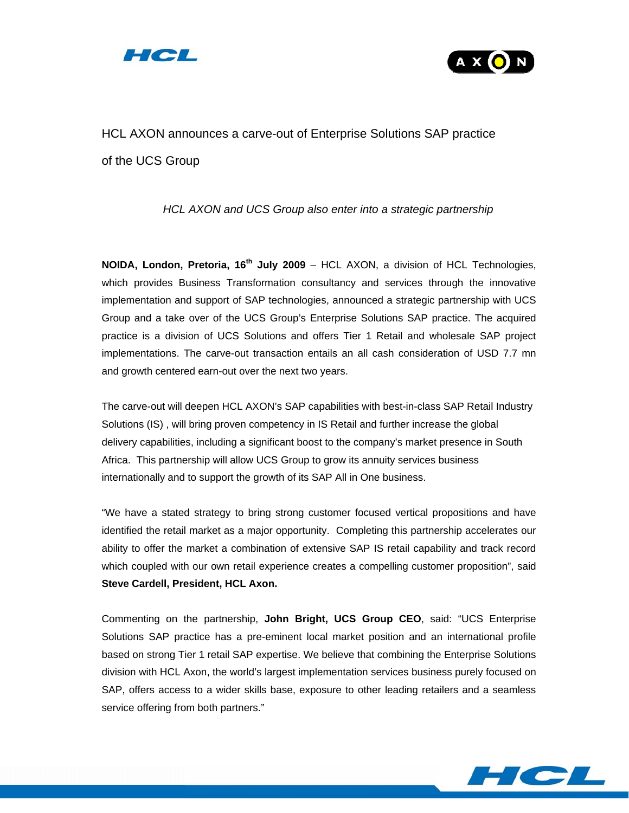



# HCL AXON announces a carve-out of Enterprise Solutions SAP practice of the UCS Group

# *HCL AXON and UCS Group also enter into a strategic partnership*

**NOIDA, London, Pretoria, 16<sup>th</sup> July 2009** – HCL AXON, a division of HCL Technologies, which provides Business Transformation consultancy and services through the innovative implementation and support of SAP technologies, announced a strategic partnership with UCS Group and a take over of the UCS Group's Enterprise Solutions SAP practice. The acquired practice is a division of UCS Solutions and offers Tier 1 Retail and wholesale SAP project implementations. The carve-out transaction entails an all cash consideration of USD 7.7 mn and growth centered earn-out over the next two years.

The carve-out will deepen HCL AXON's SAP capabilities with best-in-class SAP Retail Industry Solutions (IS) , will bring proven competency in IS Retail and further increase the global delivery capabilities, including a significant boost to the company's market presence in South Africa. This partnership will allow UCS Group to grow its annuity services business internationally and to support the growth of its SAP All in One business.

"We have a stated strategy to bring strong customer focused vertical propositions and have identified the retail market as a major opportunity. Completing this partnership accelerates our ability to offer the market a combination of extensive SAP IS retail capability and track record which coupled with our own retail experience creates a compelling customer proposition", said **Steve Cardell, President, HCL Axon.**

Commenting on the partnership, **John Bright, UCS Group CEO**, said: "UCS Enterprise Solutions SAP practice has a pre-eminent local market position and an international profile based on strong Tier 1 retail SAP expertise. We believe that combining the Enterprise Solutions division with HCL Axon, the world's largest implementation services business purely focused on SAP, offers access to a wider skills base, exposure to other leading retailers and a seamless service offering from both partners."

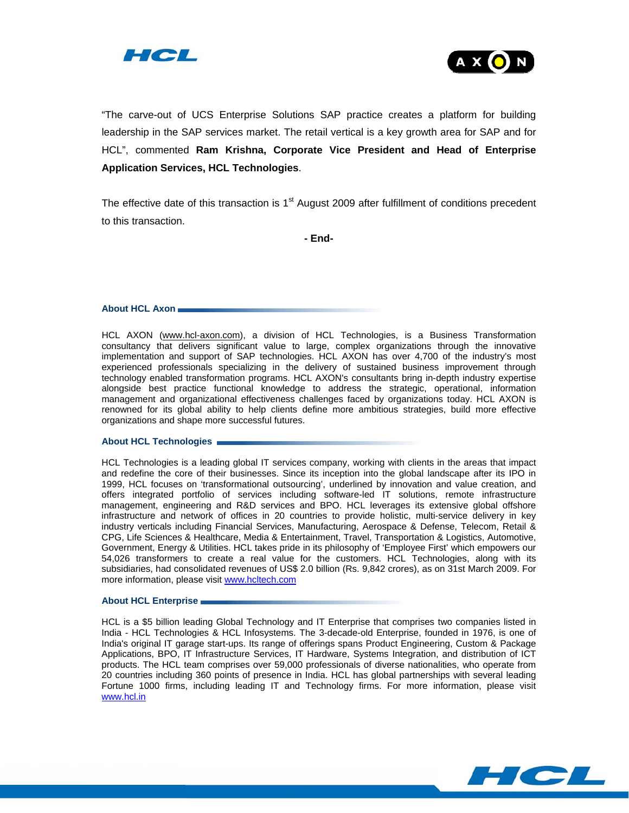



"The carve-out of UCS Enterprise Solutions SAP practice creates a platform for building leadership in the SAP services market. The retail vertical is a key growth area for SAP and for HCL", commented **Ram Krishna, Corporate Vice President and Head of Enterprise Application Services, HCL Technologies**.

The effective date of this transaction is  $1<sup>st</sup>$  August 2009 after fulfillment of conditions precedent to this transaction.

**- End-**

# **About HCL Axon**

HCL AXON (www.hcl-axon.com), a division of HCL Technologies, is a Business Transformation consultancy that delivers significant value to large, complex organizations through the innovative implementation and support of SAP technologies. HCL AXON has over 4,700 of the industry's most experienced professionals specializing in the delivery of sustained business improvement through technology enabled transformation programs. HCL AXON's consultants bring in-depth industry expertise alongside best practice functional knowledge to address the strategic, operational, information management and organizational effectiveness challenges faced by organizations today. HCL AXON is renowned for its global ability to help clients define more ambitious strategies, build more effective organizations and shape more successful futures.

# **About HCL Technologies**

HCL Technologies is a leading global IT services company, working with clients in the areas that impact and redefine the core of their businesses. Since its inception into the global landscape after its IPO in 1999, HCL focuses on 'transformational outsourcing', underlined by innovation and value creation, and offers integrated portfolio of services including software-led IT solutions, remote infrastructure management, engineering and R&D services and BPO. HCL leverages its extensive global offshore infrastructure and network of offices in 20 countries to provide holistic, multi-service delivery in key industry verticals including Financial Services, Manufacturing, Aerospace & Defense, Telecom, Retail & CPG, Life Sciences & Healthcare, Media & Entertainment, Travel, Transportation & Logistics, Automotive, Government, Energy & Utilities. HCL takes pride in its philosophy of 'Employee First' which empowers our 54,026 transformers to create a real value for the customers. HCL Technologies, along with its subsidiaries, had consolidated revenues of US\$ 2.0 billion (Rs. 9,842 crores), as on 31st March 2009. For more information, please visit www.hcltech.com

# **About HCL Enterprise**

HCL is a \$5 billion leading Global Technology and IT Enterprise that comprises two companies listed in India - HCL Technologies & HCL Infosystems. The 3-decade-old Enterprise, founded in 1976, is one of India's original IT garage start-ups. Its range of offerings spans Product Engineering, Custom & Package Applications, BPO, IT Infrastructure Services, IT Hardware, Systems Integration, and distribution of ICT products. The HCL team comprises over 59,000 professionals of diverse nationalities, who operate from 20 countries including 360 points of presence in India. HCL has global partnerships with several leading Fortune 1000 firms, including leading IT and Technology firms. For more information, please visit www.hcl.in

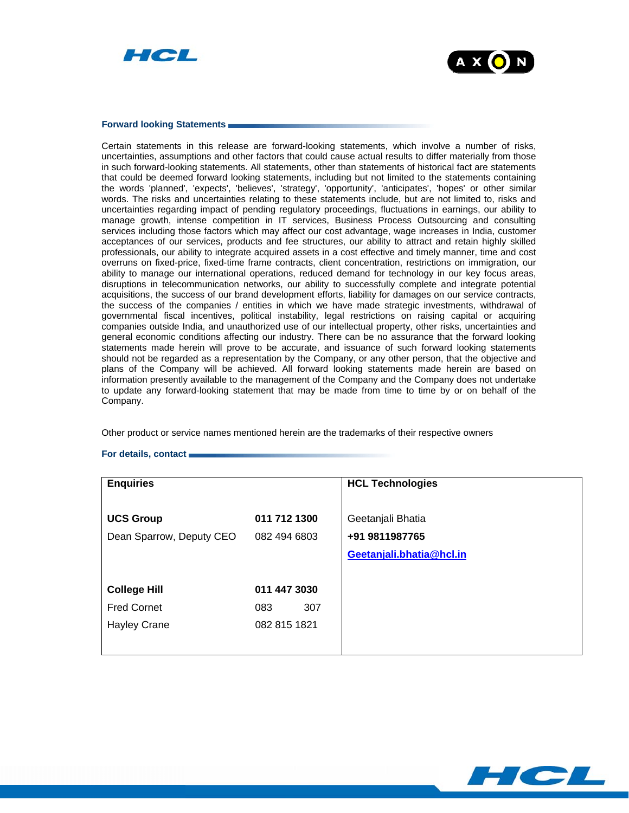



# **Forward looking Statements**

Certain statements in this release are forward-looking statements, which involve a number of risks, uncertainties, assumptions and other factors that could cause actual results to differ materially from those in such forward-looking statements. All statements, other than statements of historical fact are statements that could be deemed forward looking statements, including but not limited to the statements containing the words 'planned', 'expects', 'believes', 'strategy', 'opportunity', 'anticipates', 'hopes' or other similar words. The risks and uncertainties relating to these statements include, but are not limited to, risks and uncertainties regarding impact of pending regulatory proceedings, fluctuations in earnings, our ability to manage growth, intense competition in IT services, Business Process Outsourcing and consulting services including those factors which may affect our cost advantage, wage increases in India, customer acceptances of our services, products and fee structures, our ability to attract and retain highly skilled professionals, our ability to integrate acquired assets in a cost effective and timely manner, time and cost overruns on fixed-price, fixed-time frame contracts, client concentration, restrictions on immigration, our ability to manage our international operations, reduced demand for technology in our key focus areas, disruptions in telecommunication networks, our ability to successfully complete and integrate potential acquisitions, the success of our brand development efforts, liability for damages on our service contracts, the success of the companies / entities in which we have made strategic investments, withdrawal of governmental fiscal incentives, political instability, legal restrictions on raising capital or acquiring companies outside India, and unauthorized use of our intellectual property, other risks, uncertainties and general economic conditions affecting our industry. There can be no assurance that the forward looking statements made herein will prove to be accurate, and issuance of such forward looking statements should not be regarded as a representation by the Company, or any other person, that the objective and plans of the Company will be achieved. All forward looking statements made herein are based on information presently available to the management of the Company and the Company does not undertake to update any forward-looking statement that may be made from time to time by or on behalf of the Company.

Other product or service names mentioned herein are the trademarks of their respective owners

# **For details, contact**

| <b>Enquiries</b>         |              | <b>HCL Technologies</b>  |
|--------------------------|--------------|--------------------------|
|                          |              |                          |
| <b>UCS Group</b>         | 011 712 1300 | Geetanjali Bhatia        |
| Dean Sparrow, Deputy CEO | 082 494 6803 | +91 9811987765           |
|                          |              | Geetanjali.bhatia@hcl.in |
|                          |              |                          |
| <b>College Hill</b>      | 011 447 3030 |                          |
| <b>Fred Cornet</b>       | 307<br>083   |                          |
| <b>Hayley Crane</b>      | 082 815 1821 |                          |
|                          |              |                          |